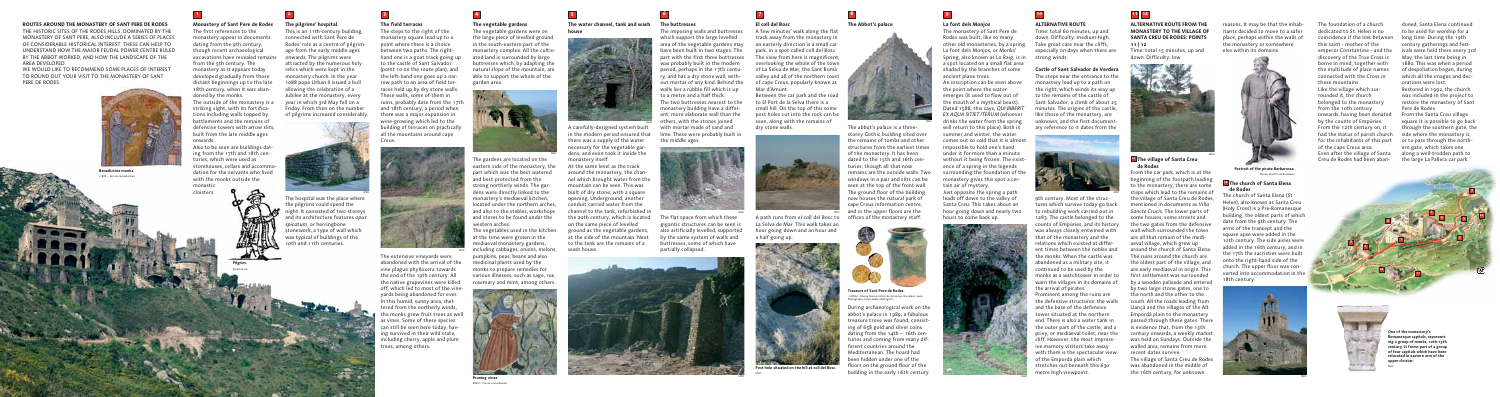#### **ALTERNATIVE ROUTE FROM THE MONASTERY TO THE VILLAGE OF SANTA CREU DE RODES: POINTS**

# Time: total 15 minutes, up and down. Difficulty: low

#### **The village of Santa Creu 11 de Rodes**

From the car park, which is at the

beginning of the footpath leading to the monastery, there are some steps which lead to the remains of the village of Santa Creu de Rodes, mentioned in documents as *Villa Sancte Crucis*. The lower parts of some houses, some streets and the two gates from the defensive wall which surrounded the town are all that remain of the mediaeval village, which grew up around the church of Santa Elena. The ruins around the church are the oldest part of the village, and are early mediaeval in origin. This first settlement was surrounded by a wooden palisade and entered by two large stone gates, one to the north and the other to the south. All the roads leading from Llançà and the villages of the Alt Empordà plain to the monastery passed through these gates. There is evidence that, from the 13th century onwards, a weekly market was held on Sundays. Outside the walled area, remains from more recent dates survive. The village of Santa Creu de Rodes was abandoned in the middle of

the 16th century, for unknown

WE WOULD LIKE TO RECOMMEND SOME PLACES OF INTEREST TO ROUND OUT YOUR VISIT TO THE MONASTERY OF SANT PERE DE RODES.

The steps to the right of the monastery square lead up to a point where there is a choice between two paths. The righthand one is a goat track going up to the castle of Sant Salvador (point 10 on the route plan), and the left-hand one goes up a narrow path to an area of field terraces held up by dry stone walls. These walls, some of them in ruins, probably date from the 17th and 18th century, a period when there was a major expansion in wine-growing which led to the building of terraces on practically all the mountains around cape **Creus** 



#### **Monastery of Sant Pere de Rodes**

The first references to the monastery appear in documents dating from the 9th century, though recent archaeological excavations have revealed remains from the 5th century. The monastery as it appears today developed gradually from those distant beginnings up to the late 18th century, when it was abandoned by the monks. The outside of the monastery is a striking sight, with its fortifications including walls topped by battlements and the remains of defensive towers with arrow slits, built from the late middle ages onwards.

Also to be seen are buildings dating from the 17th and 18th centuries, which were used as storehouses, cellars and accommodation for the servants who lived with the monks outside the monastic cloisters.



#### **ROUTES AROUND THE MONASTERY OF SANT PERE DE RODES**

THE HISTORIC SITES OF THE RODES HILLS, DOMINATED BY THE MONASTERY OF SANT PERE, ALSO INCLUDE A SERIES OF PLACES OF CONSIDERABLE HISTORICAL INTEREST. THESE CAN HELP TO UNDERSTAND HOW THE MAJOR FEUDAL POWER CENTRE RULED BY THE ABBOT WORKED, AND HOW THE LANDSCAPE OF THE AREA DEVELOPED.

#### **The field terraces**

**11 | 12** Take great care near the cliffs, especially on days when there are

The extensive vineyards were abandoned with the arrival of the vine plague phylloxera towards the end of the 19th century. All the native grapevines were killed off, which led to most of the vineyards being abandoned for ever. In this humid, sunny area, sheltered from the northerly winds, the monks grew fruit trees as well as vines. Some of these species can still be seen here today, having survived in their wild state, including cherry, apple and plum trees, among others.

**The buttresses**

The imposing walls and buttresses which support the large levelled area of the vegetable gardens may have been built in two stages. The part with the first three buttresses was probably built in the modern period, perhaps in the 17th century, and has a dry stone wall, without mortar of any kind. Behind the walls lies a rubble fill which is up to a metre and a half thick. The two buttresses nearest to the monastery building have a different, more elaborate wall than the others, with the stones joined with mortar made of sand and lime. These were probably built in

he gardens are located on the eastern side of the monastery, the part which was the best watered and best protected from the strong northerly winds. The gardens were directly linked to the monastery's mediaeval kitchen, located under the northern arches, and also to the stables, workshops and stores to be found under the western arches.

the middle ages.

The flat space from which these gigantic structures can be seen is also artificially levelled, supported by the same system of walls and buttresses, some of which have

partially collapsed.

During archaeological work on the abbot's palace in 1989, a fabulous treasure trove was found, consisting of 658 gold and silver coins dating from the 14th – 16th centuries and coming from many different countries around the Mediterranean. The hoard had been hidden under one of the floors on the ground floor of the Post hole situated on the hill at coll del Bosc.<br>**Post hole situated on the hill at coll del Bosc. Post building in the early 16th century.** 

**El coll del Bosc** A few minutes' walk along the flat track away from the monastery in an easterly direction is a small car park, in a spot called coll del Bosc. The view from here is magnificent, overlooking the whole of the town of La Selva de Mar, the Sant Romà valley and all of the northern coast of cape Creus, popularly known as Mar d'Amunt.

Between the car park and the road to El Port de la Selva there is a small hill. On the top of this some post holes cut into the rock can be seen, along with the remains of dry stone walls.

A path runs from el coll del Bosc to La Selva de Mar. This walk takes an hour going down and an hour and a half going up.







#### **La font dels Monjos**

The monastery of Sant Pere de Rodes was built, like so many other old monasteries, by a spring. La font dels Monjos, or Monks' Spring, also known as Lo Raig, is in strong winds. a spot located on a small flat area shaded by the branches of some ancient plane trees. An inscription can be seen above the point where the water emerges (it used to flow out of the mouth of a mythical beast). Dated 1588, this says, *QUI BIBERIT EX AQUA SITIET ITERUM* (whoever drinks the water from the spring will return to this place). Both in summer and winter, the water comes out so cold that it is almost impossible to hold one's hand under it for more than a minute without it being frozen. The existence of a spring in the legends surrounding the foundation of the monastery gives this spot a certain air of mystery.

Just opposite the spring a path leads off down to the valley of Santa Creu. This takes about an hour going down and nearly two hours to come back up.



### **ALTERNATIVE ROUTE**

Time: total 60 minutes, up and down. Difficulty: medium-high.

#### **Castle of Sant Salvador de Verdera**

The steps near the entrance to the monastery lead up to a path on the right, which winds its way up to the remains of the castle of Sant Salvador, a climb of about 25 minutes. The origins of the castle, like those of the monastery, are unknown, and the first documentary reference to it dates from the



**Portrait of the pirate Barbarossa.** Museu Marítim de Barcelona

9th century. Most of the structures which survive today go back to rebuilding work carried out in 1283. The castle belonged to the counts of Empúries, and its history was always closely entwined with that of the monastery and the relations which existed at different times between the nobles and the monks. When the castle was abandoned as a military site, it continued to be used by the monks as a watchtower in order to warn the villages in its domains of the arrival of pirates. Prominent among the ruins are the defensive structures: the walls and the base of the defensive tower situated at the northern end. There is also a water tank in the outer part of the castle, and a privy, or mediaeval toilet, near the cliff. However, the most impressive memory visitors take away with them is the spectacular view of the Empordà plain which stretches out beneath this 630 metre high viewpoint.

# **1 2 3 4 5 6 7 8 9 10 11 12**

#### **The vegetable gardens**

The vegetable gardens were on the large piece of levelled ground in the south-eastern part of the monastery complex. All the cultivated land is surrounded by large buttresses which, by adapting the natural slope of the mountain, are able to support the whole of the garden area.

The vegetables used in the kitchen at the time were grown in the mediaeval monastery gardens, including cabbages, onions, melons, pumpkins, peas, beans and also medicinal plants used by the monks to prepare remedies for various illnesses, such as sage, rue, rosemary and mint, among others.

**The Abbot's palace**

The abbot's palace is a threestorey Gothic building sited over the remains of tombs and other structures from the earliest times of the monastery. It has been dated to the 15th and 16th centuries, though all that now remains are the outside walls. Two windows in a pair and slits can be seen at the top of the front wall. The ground floor of the building now houses the natural park of cape Creus information centre, and in the upper floors are the offices of the monastery staff.





**Pruning vines.** RMN / © Hervè Lewandowski





**Benedictine monks.** © BNF – Service reproduction

**One of the monastery's Romanesque capitals, representing a group of monks, 12th-13th century. It forms part of a group of four capitals which have been relocated in eastern arm of the upper cloister.** MHC

#### **The water channel, tank and wash**





A carefully-designed system built in the modern period ensured that there was a supply of the water necessary for the vegetable gardens, and even took it inside the monastery itself.

At the same level as the track around the monastery, the channel which brought water from the mountain can be seen. This was built of dry stone, with a square opening. Underground, another conduit carried water from the channel to the tank, refurbished in the 20th century, which is located on the same piece of levelled ground as the vegetable gardens, at the side of the mountain. Next to the tank are the remains of a



**Pilgrim.**

Fototeca.cat

MHC

MHC

MHC









#### **The pilgrims' hospital**

This is an 11th-century building, connected with Sant Pere de Rodes' role as a centre of pilgrimage from the early middle ages onwards. The pilgrims were attracted by the numerous holy relics which were kept in the monastery church. In the year 1088 pope Urban II issued a bull allowing the celebration of a Jubilee at the monastery, every year in which 3rd May fell on a Friday. From then on the number of pilgrims increased considerably.

The hospital was the place where the pilgrims could spend the night. It consisted of two storeys and its architecture features *opus spicatum*, or herringbone stonework, a type of wall which was typical of buildings of the 10th and 11th centuries.









#### **The church of Santa Elena 12 de Rodes**

The church of Santa Elena (St. Helen), also known as Santa Creu (Holy Cross) is a Pre-Romanesque building, the oldest parts of which date from the 9th century. The arms of the transept and the square apse were added in the 10th century. The side aisles were added in the 16th century, and in the 17th the sacristies were built onto the right-hand side of the church. The upper floor was converted into accommodation in the 18th century.

The foundation of a church dedicated to St. Helen is no coincidence if the link between this saint - mother of the emperor Constantine - and the discovery of the True Cross is borne in mind, together with the multitude of place names connected with the Cross in these mountains. Like the village which surrounded it, the church belonged to the monastery from the 10th century onwards, having been donated by the counts of Empúries. From the 12th century on, it had the status of parish church for the inhabitants of this part  $\qquad$  or to pass through the northof the cape Creus area. Even after the village of Santa Creu de Rodes had been aban-

doned, Santa Elena continued to be used for worship for a long time. During the 19th century gatherings and festivals were held there every 3rd May, the last time being in 1880. This was when a period of despoliation began, during which all the images and decorations were lost.

Restored in 1992, the church was included in the project to restore the monastery of Sant Pere de Rodes.

From the Santa Creu village square it is possible to go back through the southern gate, the side where the monastery is, ern gate, which takes one along a well-trodden path to the large La Pallera car park.



© MNAC - Museu Nacional d'Art de Catalunya. Barcelona. 2006 Photographs: Calveras/Mèrida/Sagristà